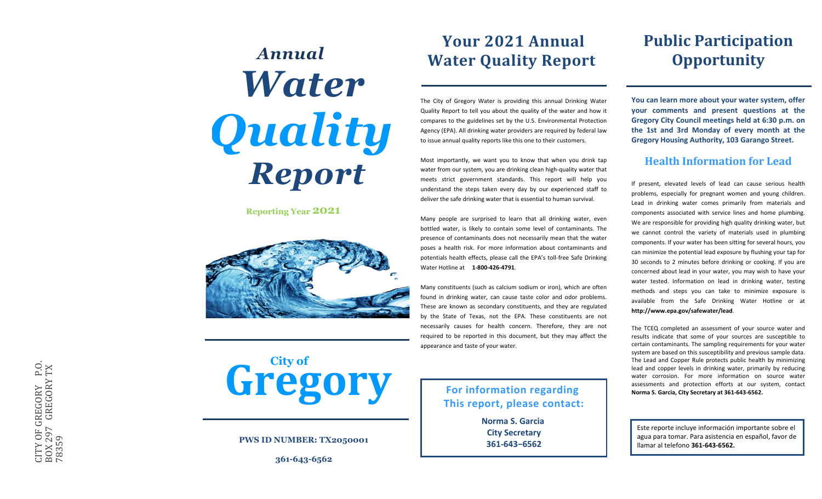# **361-621-1**<br> **361-642-6562**<br> **361-643-6562**<br> **361-643-6562**<br> **361-643-6562**<br> **361-643-6562**<br> **361-643-6562**<br> **362-643-6562**<br> **362-643-6562**<br> **362-643-6562**<br> **362-643-6562**<br> **362-643-6562**<br> **362-643-6562**<br> **182-643-6562**<br> Annual Water Quality Report<br>  $\blacksquare$ <br> **Annual Consequence and taste of the consequence and taste of your water and present property.**<br> **Consequence and taste of your water and present and present and present and present and**

**Reporting Year 2021**



The City of Gregory Water is providing this annual Drinking Water Quality Report to tell you about the quality of the water and how it compares to the guidelines set by the U.S. Environmental Protection Agency (EPA). All drinking water providers are required by federal law to issue annual quality reports like this one to their customers.

Most importantly, we want you to know that when you drink tap water from our system, you are drinking clean high-quality water that meets strict government standards. This report will help you understand the steps taken every day by our experienced staff to deliver the safe drinking water that is essential to human survival.

Many people are surprised to learn that all drinking water, even bottled water, is likely to contain some level of contaminants. The presence of contaminants does not necessarily mean that the water poses a health risk. For more information about contaminants and potentials health effects, please call the EPA's toll-free Safe Drinking Water Hotline at **1-800-426-4791**.

Many constituents (such as calcium sodium or iron), which are often found in drinking water, can cause taste color and odor problems. These are known as secondary constituents, and they are regulated by the State of Texas, not the EPA. These constituents are not necessarily causes for health concern. Therefore, they are not required to be reported in this document, but they may affect the

**Norma S. Garcia City Secretary 361-643−6562**

# **Public Participation Opportunity**

**You can learn more about your water system, offer your comments and present questions at the Gregory City Council meetings held at 6:30 p.m. on the 1st and 3rd Monday of every month at the Gregory Housing Authority, 103 Garango Street.** 

### **Health Information for Lead**

If present, elevated levels of lead can cause serious health problems, especially for pregnant women and young children. Lead in drinking water comes primarily from materials and components associated with service lines and home plumbing. We are responsible for providing high quality drinking water, but we cannot control the variety of materials used in plumbing components. If your water has been sitting for several hours, you can minimize the potential lead exposure by flushing your tap for 30 seconds to 2 minutes before drinking or cooking. If you are concerned about lead in your water, you may wish to have your water tested. Information on lead in drinking water, testing methods and steps you can take to minimize exposure is available from the Safe Drinking Water Hotline or at **http://www.epa.gov/safewater/lead**.

The TCEQ completed an assessment of your source water and results indicate that some of your sources are susceptible to certain contaminants. The sampling requirements for your water system are based on this susceptibility and previous sample data. The Lead and Copper Rule protects public health by minimizing lead and copper levels in drinking water, primarily by reducing water corrosion. For more information on source water assessments and protection efforts at our system, contact **Norma S. Garcia, City Secretary at 361-643-6562.**

Este reporte incluye información importante sobre el agua para tomar. Para asistencia en español, favor de

**Gregory For information regarding This report, please contact:** C(1)<br>
C(1)<br>
C(1)<br>
C(1)<br>
C(1)<br>
C(1)<br>
C(1)<br>
C(1)<br>
C(1)<br>
C(1)<br>
C(1)<br>
C(1)<br>
C(1)<br>
C(1)<br>
C(1)<br>
C(1)<br>
C(1)<br>
C(1)<br>
C(1)<br>
C(1)<br>
C(1)<br>
C(1)<br>
C(1)<br>
C(1)<br>
C(1)<br>
C(1)<br>
C(1)<br>
C(1)<br>
C(1)<br>
C(1)<br>
C(1)<br>
C(1)<br>
C(1)<br>
C(1)<br>
C(1)<br>
C(1)<br>
C(1)<br> **City of**

### **PWS ID NUMBER: TX2050001**